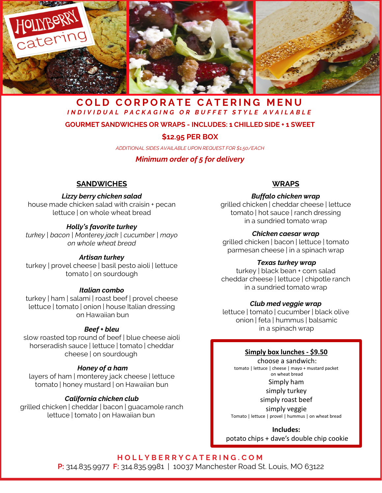

## **COLD CORPORATE CATERING MENU** *INDIVIDUAL PACKAGING OR BUFFET STYLE AVAILABLE*

#### **GOURMET SANDWICHES OR WRAPS - INCLUDES: 1 CHILLED SIDE + 1 SWEET**

#### **\$12.95 PER BOX**

*ADDITIONAL SIDES AVAILABLE UPON REQUEST FOR \$1.50/EACH*

#### *Minimum order of 5 for delivery*

#### **SANDWICHES**

#### *Lizzy berry chicken salad*

house made chicken salad with craisin + pecan lettuce | on whole wheat bread

#### *Holly's favorite turkey*

*turkey | bacon | Monterey jack | cucumber | mayo on whole wheat bread*

#### *Artisan turkey*

turkey | provel cheese | basil pesto aioli | lettuce tomato | on sourdough

#### *Italian combo*

turkey | ham | salami | roast beef | provel cheese lettuce | tomato | onion | house Italian dressing on Hawaiian bun

#### *Beef + bleu*

slow roasted top round of beef | blue cheese aioli horseradish sauce | lettuce | tomato | cheddar cheese | on sourdough

#### *Honey of a ham*

layers of ham | monterey jack cheese | lettuce tomato | honey mustard | on Hawaiian bun

#### *California chicken club*

grilled chicken | cheddar | bacon | guacamole ranch lettuce | tomato | on Hawaiian bun

#### **WRAPS**

#### *Buffalo chicken wrap*

grilled chicken | cheddar cheese | lettuce tomato | hot sauce | ranch dressing in a sundried tomato wrap

#### *Chicken caesar wrap*

grilled chicken | bacon | lettuce | tomato parmesan cheese | in a spinach wrap

#### *Texas turkey wrap*

turkey | black bean + corn salad cheddar cheese | lettuce | chipotle ranch in a sundried tomato wrap

#### *Club med veggie wrap*

lettuce | tomato | cucumber | black olive onion | feta | hummus | balsamic in a spinach wrap

#### **Simply box lunches - \$9.50**

choose a sandwich: tomato | lettuce | cheese | mayo + mustard packet on wheat bread Simply ham simply turkey simply roast beef

simply veggie Tomato | lettuce | provel | hummus | on wheat bread

**Includes:** potato chips + dave's double chip cookie

**HOLLYBERRYCATERING.COM**

**P:** 314.835.9977 **F:** 314.835.9981 | 10037 Manchester Road St. Louis, MO 63122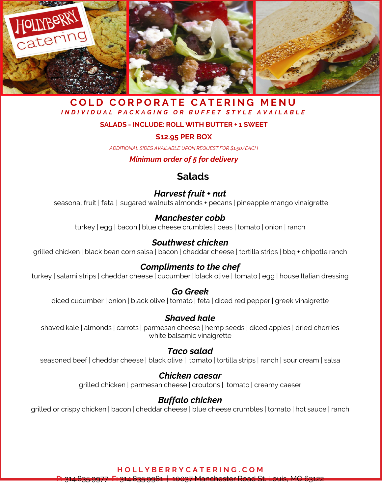

## **COLD CORPORATE CATERING MENU** *INDIVIDUAL PACKAGING OR BUFFET STYLE AVAILABLE*

#### **SALADS - INCLUDE: ROLL WITH BUTTER + 1 SWEET**

## **\$12.95 PER BOX**

*ADDITIONAL SIDES AVAILABLE UPON REQUEST FOR \$1.50/EACH*

## *Minimum order of 5 for delivery*

## **Salads**

## *Harvest fruit + nut*

seasonal fruit | feta | sugared walnuts almonds + pecans | pineapple mango vinaigrette

## *Manchester cobb*

turkey | egg | bacon | blue cheese crumbles | peas | tomato | onion | ranch

## *Southwest chicken*

grilled chicken | black bean corn salsa | bacon | cheddar cheese | tortilla strips | bbq + chipotle ranch

## *Compliments to the chef*

turkey | salami strips | cheddar cheese | cucumber | black olive | tomato | egg | house Italian dressing

## *Go Greek*

diced cucumber | onion | black olive | tomato | feta | diced red pepper | greek vinaigrette

## *Shaved kale*

shaved kale | almonds | carrots | parmesan cheese | hemp seeds | diced apples | dried cherries white balsamic vinaigrette

## *Taco salad*

seasoned beef | cheddar cheese | black olive | tomato | tortilla strips | ranch | sour cream | salsa

## *Chicken caesar*

grilled chicken | parmesan cheese | croutons | tomato | creamy caeser

## *Buffalo chicken*

grilled or crispy chicken | bacon | cheddar cheese | blue cheese crumbles | tomato | hot sauce | ranch

**HOLLYBERRYCATERING.COM**

**P:** 314.835.9977 **F:** 314.835.9981 | 10037 Manchester Road St. Louis, MO 63122